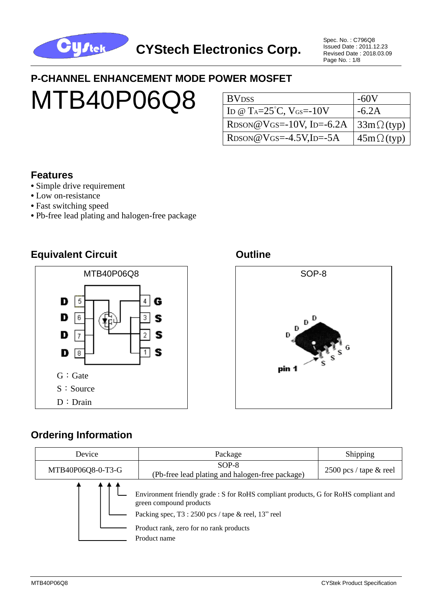

Spec. No. : C796Q8 Issued Date : 2011.12.23 Revised Date : 2018.03.09 Page No. : 1/8

## **P-CHANNEL ENHANCEMENT MODE POWER MOSFET**

# MTB40P06Q8

| <b>BV</b> <sub>DSS</sub>                                    | $-60V$            |
|-------------------------------------------------------------|-------------------|
| ID @ T <sub>A</sub> = $25^{\circ}$ C, V <sub>GS</sub> =-10V | $-6.2A$           |
| $RDSON@VGS = -10V$ , ID=-6.2A                               | $33m\Omega$ (typ) |
| $RDSON@VGS = -4.5V$ , ID $=-5A$                             | $45m\Omega(typ)$  |

#### **Features**

- Simple drive requirement
- Low on-resistance
- **•** Fast switching speed
- **•** Pb-free lead plating and halogen-free package

#### **Equivalent Circuit Canadian Circuit Circuit Circuit Circuit Constant Circuit Circuit Circuit Circuit Circuit**





#### **Ordering Information**

| Device            | Package                                                                                                                                                                                                                             | Shipping                         |  |
|-------------------|-------------------------------------------------------------------------------------------------------------------------------------------------------------------------------------------------------------------------------------|----------------------------------|--|
| MTB40P06Q8-0-T3-G | $SOP-8$<br>(Pb-free lead plating and halogen-free package)                                                                                                                                                                          | $2500 \text{ pcs}$ / tape & reel |  |
|                   | Environment friendly grade : S for RoHS compliant products, G for RoHS compliant and<br>green compound products<br>Packing spec, $T3:2500$ pcs / tape & reel, $13"$ reel<br>Product rank, zero for no rank products<br>Product name |                                  |  |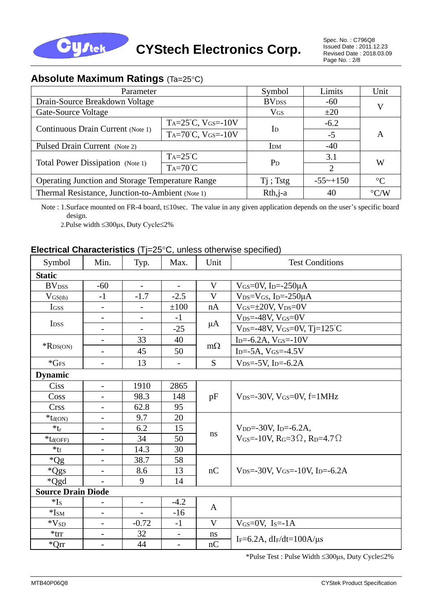

Spec. No. : C796Q8 Issued Date : 2011.12.23 Revised Date : 2018.03.09 Page No.: 2/8

#### **Absolute Maximum Ratings (Ta=25°C)**

| Parameter                                               | Symbol                          | Limits                 | Unit               |   |  |
|---------------------------------------------------------|---------------------------------|------------------------|--------------------|---|--|
| Drain-Source Breakdown Voltage                          | <b>BV</b> <sub>DSS</sub>        | $-60$                  | V                  |   |  |
| Gate-Source Voltage                                     |                                 | ${\rm V}_{\rm GS}$     | ±20                |   |  |
|                                                         | $Ta=25^{\circ}C, V(s=-10V)$     | $\mathbf{I}$           | $-6.2$             |   |  |
| Continuous Drain Current (Note 1)                       | TA= $70^{\circ}$ C, VGS= $-10V$ |                        | $-5$               | Α |  |
| Pulsed Drain Current (Note 2)                           | I <sub>DM</sub>                 | $-40$                  |                    |   |  |
|                                                         | $Ta=25^{\circ}C$                |                        | 3.1                | W |  |
| Total Power Dissipation (Note 1)                        | $Ta=70^{\circ}C$                | P <sub>D</sub>         | $\overline{2}$     |   |  |
| <b>Operating Junction and Storage Temperature Range</b> | $Ti$ ; Tstg                     | $-55 \rightarrow +150$ | $\rm ^{\circ}C$    |   |  |
| Thermal Resistance, Junction-to-Ambient (Note 1)        | $Rth, j-a$                      | 40                     | $\rm ^{\circ} C/W$ |   |  |

Note : 1.Surface mounted on FR-4 board, t≤10sec. The value in any given application depends on the user's specific board design.

2.Pulse width 300μs, Duty Cycle2%

#### **Electrical Characteristics** (Tj=25°C, unless otherwise specified)

| Symbol                    | Min.                     | Typ.                     | Max.                     | Unit      | <b>Test Conditions</b>                                                           |  |
|---------------------------|--------------------------|--------------------------|--------------------------|-----------|----------------------------------------------------------------------------------|--|
| <b>Static</b>             |                          |                          |                          |           |                                                                                  |  |
| <b>BV</b> <sub>DSS</sub>  | $-60$                    |                          |                          | V         | VGS=0V, I <sub>D</sub> = $-250\mu$ A                                             |  |
| $V_{GS(th)}$              | $-1$                     | $-1.7$                   | $-2.5$                   | V         | $V_{DS}=V_{GS}$ , I <sub>D</sub> =-250 $\mu$ A                                   |  |
| <b>IGSS</b>               |                          |                          | ±100                     | nA        | $V_{GS}=\pm 20V$ , $V_{DS}=0V$                                                   |  |
|                           | $\overline{\phantom{a}}$ |                          | $-1$                     | μA        | $V_{DS} = -48V$ , $V_{GS} = 0V$                                                  |  |
| I <sub>DSS</sub>          | $\overline{\phantom{a}}$ | $\overline{\phantom{a}}$ | $-25$                    |           | $V_{DS} = -48V$ , $V_{GS} = 0V$ , $T = 125^{\circ}C$                             |  |
|                           | $\overline{\phantom{a}}$ | 33                       | 40                       |           | $I_{D} = -6.2A$ , $V_{GS} = -10V$                                                |  |
| $*$ R <sub>DS</sub> (ON)  | $\overline{\phantom{a}}$ | 45                       | 50                       | $m\Omega$ | $I_{D} = -5A, V_{GS} = -4.5V$                                                    |  |
| $*GFS$                    | $\overline{\phantom{a}}$ | 13                       | $\overline{\phantom{a}}$ | S         | $V_{DS} = -5V$ , I <sub>D</sub> $= -6.2A$                                        |  |
| <b>Dynamic</b>            |                          |                          |                          |           |                                                                                  |  |
| Ciss                      | $\overline{\phantom{a}}$ | 1910                     | 2865                     |           |                                                                                  |  |
| Coss                      |                          | 98.3                     | 148                      | pF        | $V_{DS} = -30V$ , $V_{GS} = 0V$ , $f = 1MHz$                                     |  |
| <b>Crss</b>               | $\overline{\phantom{a}}$ | 62.8                     | 95                       |           |                                                                                  |  |
| $*_{td(ON)}$              |                          | 9.7                      | 20                       |           |                                                                                  |  |
| $*_{tr}$                  | $\overline{\phantom{a}}$ | 6.2                      | 15                       | ns        | V <sub>DD</sub> =-30V, I <sub>D</sub> =-6.2A,                                    |  |
| $*$ t <sub>d</sub> (OFF)  | $\overline{\phantom{a}}$ | 34                       | 50                       |           | V <sub>GS</sub> =-10V, R <sub>G</sub> =3 $\Omega$ , R <sub>D</sub> =4.7 $\Omega$ |  |
| $*_{\text{tf}}$           |                          | 14.3                     | 30                       |           |                                                                                  |  |
| $*Qg$                     | $\overline{\phantom{a}}$ | 38.7                     | 58                       |           |                                                                                  |  |
| $^*QgS$                   | $\overline{\phantom{a}}$ | 8.6                      | 13                       | nC        | $V_{DS} = -30V$ , $V_{GS} = -10V$ , $I_{D} = -6.2A$                              |  |
| *Qgd                      |                          | 9                        | 14                       |           |                                                                                  |  |
| <b>Source Drain Diode</b> |                          |                          |                          |           |                                                                                  |  |
| $*I_s$                    | $\overline{\phantom{a}}$ | $-$                      | $-4.2$                   | A         |                                                                                  |  |
| $*ISM$                    |                          |                          | $-16$                    |           |                                                                                  |  |
| $\mathrm{*V_{SD}}$        | $\overline{\phantom{a}}$ | $-0.72$                  | $-1$                     | V         | $V$ <sub>GS</sub> = $0$ V, I <sub>S</sub> = $-1$ A                               |  |
| $*$ trr                   | $\overline{\phantom{a}}$ | 32                       | $\overline{\phantom{a}}$ | ns        | IF=6.2A, $dI$ F/dt=100A/ $\mu$ s                                                 |  |
| $^*Qrr$                   | $\overline{\phantom{a}}$ | 44                       | $\overline{\phantom{a}}$ | nC        |                                                                                  |  |

\*Pulse Test : Pulse Width 300μs, Duty Cycle2%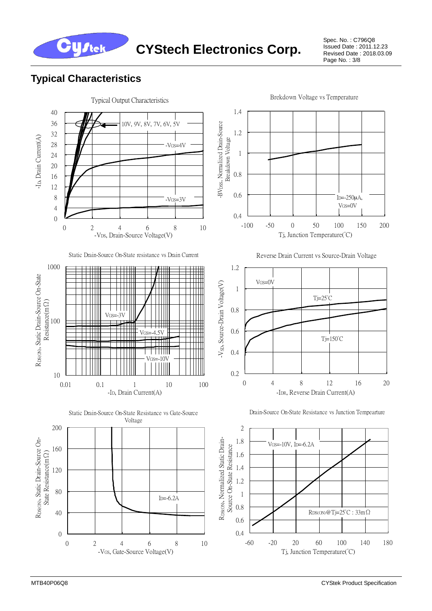

Spec. No. : C796Q8 Issued Date : 2011.12.23 Revised Date : 2018.03.09 Page No.: 3/8

#### **Typical Characteristics**

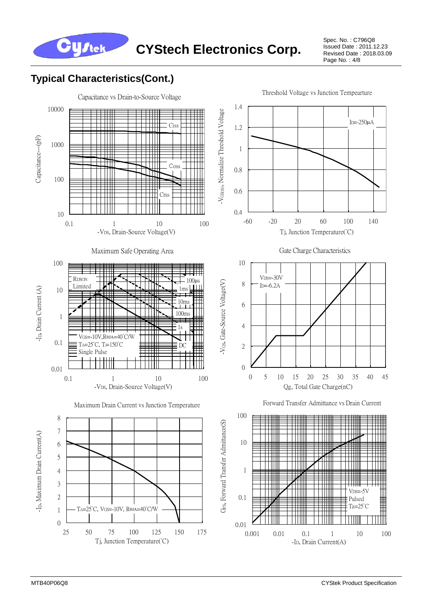

Spec. No. : C796Q8 Issued Date : 2011.12.23 Revised Date : 2018.03.09 Page No. : 4/8

# **Typical Characteristics(Cont.)**

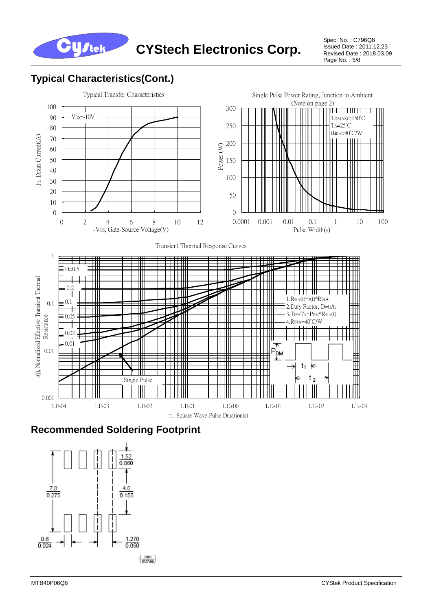

Spec. No. : C796Q8 Issued Date : 2011.12.23 Revised Date : 2018.03.09 Page No. : 5/8

## **Typical Characteristics(Cont.)**



#### **Recommended Soldering Footprint**

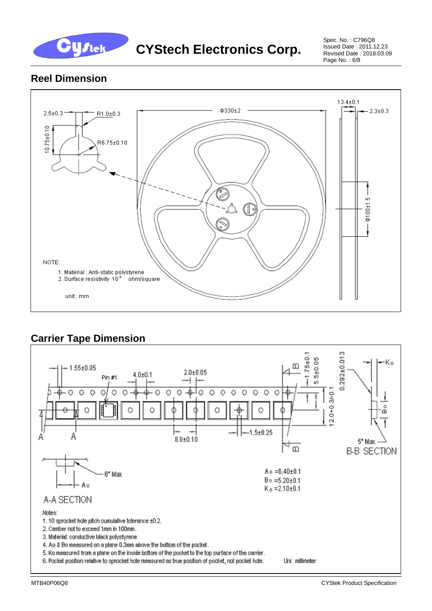

Spec. No. : C796Q8 Issued Date : 2011.12.23 Revised Date : 2018.03.09 Page No. : 6/8

#### **Reel Dimension**



#### **Carrier Tape Dimension**

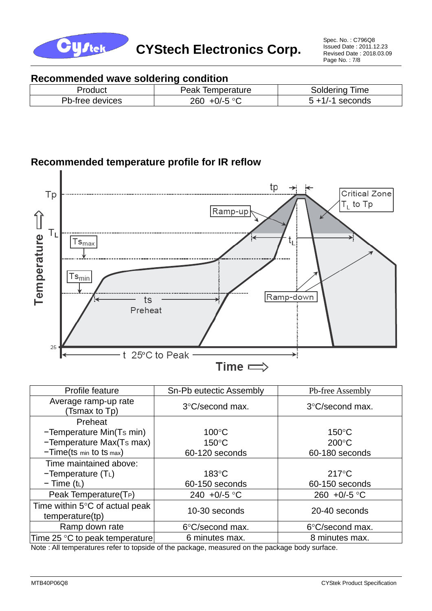

Spec. No. : C796Q8 Issued Date : 2011.12.23 Revised Date : 2018.03.09 Page No.: 7/8

#### **Recommended wave soldering condition**

| Product         | Peak<br><b>lemperature</b>     | Soldering<br>Time |
|-----------------|--------------------------------|-------------------|
| Pb-free devices | $+0$ /-5 $\circ$ $\cap$<br>260 | seconds<br>$+1/7$ |

#### **Recommended temperature profile for IR reflow**



| Profile feature                                             | Sn-Pb eutectic Assembly | Pb-free Assembly      |  |  |
|-------------------------------------------------------------|-------------------------|-----------------------|--|--|
| Average ramp-up rate<br>(Tsmax to Tp)                       | 3°C/second max.         | 3°C/second max.       |  |  |
| Preheat                                                     |                         |                       |  |  |
| -Temperature Min(Ts min)                                    | $100^{\circ}$ C         | $150^{\circ}$ C       |  |  |
| -Temperature Max(Ts max)                                    | $150^{\circ}$ C         | $200^{\circ}$ C       |  |  |
| $-Time(ts \text{ min} to ts \text{ max})$                   | 60-120 seconds          | 60-180 seconds        |  |  |
| Time maintained above:                                      |                         |                       |  |  |
| $-Temperature(TL)$                                          | $183^{\circ}$ C         | $217^{\circ}$ C       |  |  |
| $-$ Time (t <sub>L</sub> )                                  | 60-150 seconds          | 60-150 seconds        |  |  |
| Peak Temperature(T <sub>P</sub> )                           | 240 +0/-5 °C            | 260 +0/-5 $\degree$ C |  |  |
| Time within $5^{\circ}$ C of actual peak<br>temperature(tp) | 10-30 seconds           | 20-40 seconds         |  |  |
| Ramp down rate                                              | 6°C/second max.         | 6°C/second max.       |  |  |
| Time 25 °C to peak temperature                              | 6 minutes max.          | 8 minutes max.        |  |  |

Note : All temperatures refer to topside of the package, measured on the package body surface.